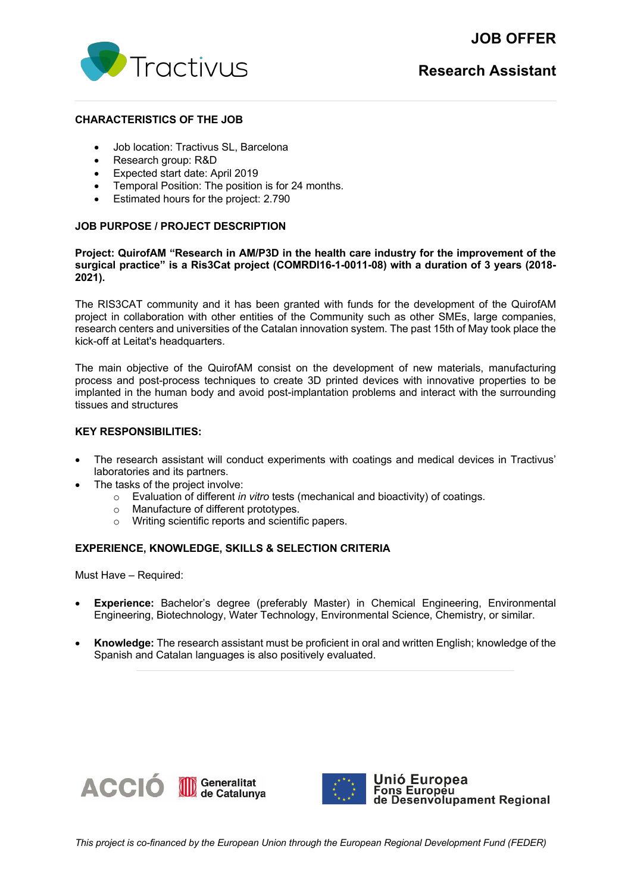

### **CHARACTERISTICS OF THE JOB**

- Job location: Tractivus SL, Barcelona
- Research group: R&D
- Expected start date: April 2019
- Temporal Position: The position is for 24 months.
- Estimated hours for the project: 2.790

# **JOB PURPOSE / PROJECT DESCRIPTION**

### **Project: QuirofAM "Research in AM/P3D in the health care industry for the improvement of the surgical practice" is a Ris3Cat project (COMRDI16-1-0011-08) with a duration of 3 years (2018- 2021).**

The RIS3CAT community and it has been granted with funds for the development of the QuirofAM project in collaboration with other entities of the Community such as other SMEs, large companies, research centers and universities of the Catalan innovation system. The past 15th of May took place the kick-off at Leitat's headquarters.

The main objective of the QuirofAM consist on the development of new materials, manufacturing process and post-process techniques to create 3D printed devices with innovative properties to be implanted in the human body and avoid post-implantation problems and interact with the surrounding tissues and structures

### **KEY RESPONSIBILITIES:**

- The research assistant will conduct experiments with coatings and medical devices in Tractivus' laboratories and its partners.
- The tasks of the project involve:
	- o Evaluation of different *in vitro* tests (mechanical and bioactivity) of coatings.
	- o Manufacture of different prototypes.
	- o Writing scientific reports and scientific papers.

# **EXPERIENCE, KNOWLEDGE, SKILLS & SELECTION CRITERIA**

Must Have – Required:

- **Experience:** Bachelor's degree (preferably Master) in Chemical Engineering, Environmental Engineering, Biotechnology, Water Technology, Environmental Science, Chemistry, or similar.
- **Knowledge:** The research assistant must be proficient in oral and written English; knowledge of the Spanish and Catalan languages is also positively evaluated.